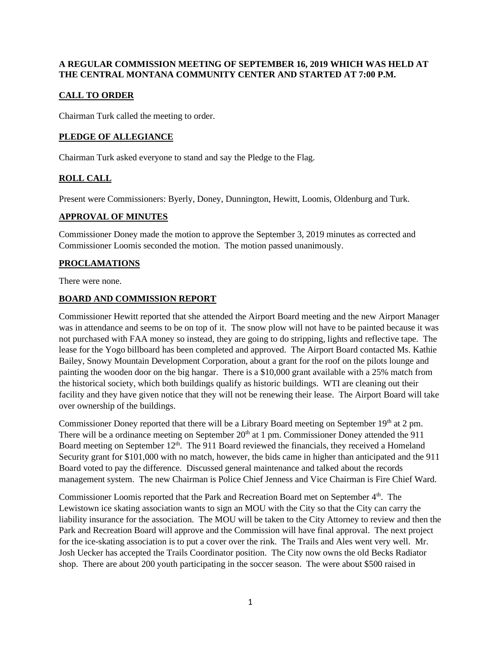## **A REGULAR COMMISSION MEETING OF SEPTEMBER 16, 2019 WHICH WAS HELD AT THE CENTRAL MONTANA COMMUNITY CENTER AND STARTED AT 7:00 P.M.**

# **CALL TO ORDER**

Chairman Turk called the meeting to order.

# **PLEDGE OF ALLEGIANCE**

Chairman Turk asked everyone to stand and say the Pledge to the Flag.

# **ROLL CALL**

Present were Commissioners: Byerly, Doney, Dunnington, Hewitt, Loomis, Oldenburg and Turk.

#### **APPROVAL OF MINUTES**

Commissioner Doney made the motion to approve the September 3, 2019 minutes as corrected and Commissioner Loomis seconded the motion. The motion passed unanimously.

# **PROCLAMATIONS**

There were none.

#### **BOARD AND COMMISSION REPORT**

Commissioner Hewitt reported that she attended the Airport Board meeting and the new Airport Manager was in attendance and seems to be on top of it. The snow plow will not have to be painted because it was not purchased with FAA money so instead, they are going to do stripping, lights and reflective tape. The lease for the Yogo billboard has been completed and approved. The Airport Board contacted Ms. Kathie Bailey, Snowy Mountain Development Corporation, about a grant for the roof on the pilots lounge and painting the wooden door on the big hangar. There is a \$10,000 grant available with a 25% match from the historical society, which both buildings qualify as historic buildings. WTI are cleaning out their facility and they have given notice that they will not be renewing their lease. The Airport Board will take over ownership of the buildings.

Commissioner Doney reported that there will be a Library Board meeting on September  $19<sup>th</sup>$  at 2 pm. There will be a ordinance meeting on September  $20<sup>th</sup>$  at 1 pm. Commissioner Doney attended the 911 Board meeting on September 12<sup>th</sup>. The 911 Board reviewed the financials, they received a Homeland Security grant for \$101,000 with no match, however, the bids came in higher than anticipated and the 911 Board voted to pay the difference. Discussed general maintenance and talked about the records management system. The new Chairman is Police Chief Jenness and Vice Chairman is Fire Chief Ward.

Commissioner Loomis reported that the Park and Recreation Board met on September 4<sup>th</sup>. The Lewistown ice skating association wants to sign an MOU with the City so that the City can carry the liability insurance for the association. The MOU will be taken to the City Attorney to review and then the Park and Recreation Board will approve and the Commission will have final approval. The next project for the ice-skating association is to put a cover over the rink. The Trails and Ales went very well. Mr. Josh Uecker has accepted the Trails Coordinator position. The City now owns the old Becks Radiator shop. There are about 200 youth participating in the soccer season. The were about \$500 raised in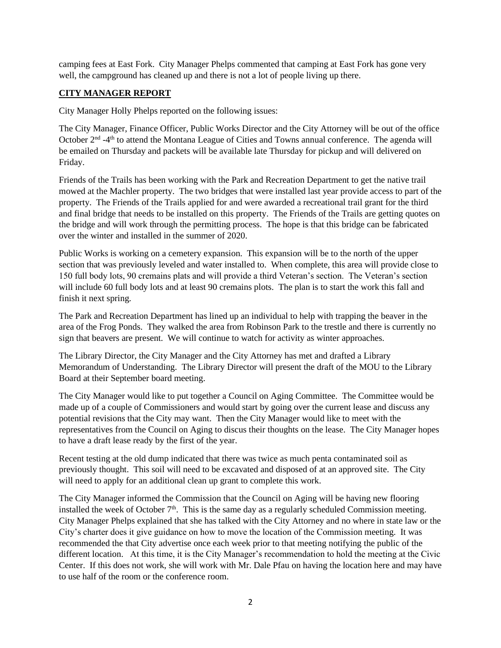camping fees at East Fork. City Manager Phelps commented that camping at East Fork has gone very well, the campground has cleaned up and there is not a lot of people living up there.

#### **CITY MANAGER REPORT**

City Manager Holly Phelps reported on the following issues:

The City Manager, Finance Officer, Public Works Director and the City Attorney will be out of the office October 2<sup>nd</sup> -4<sup>th</sup> to attend the Montana League of Cities and Towns annual conference. The agenda will be emailed on Thursday and packets will be available late Thursday for pickup and will delivered on Friday.

Friends of the Trails has been working with the Park and Recreation Department to get the native trail mowed at the Machler property. The two bridges that were installed last year provide access to part of the property. The Friends of the Trails applied for and were awarded a recreational trail grant for the third and final bridge that needs to be installed on this property. The Friends of the Trails are getting quotes on the bridge and will work through the permitting process. The hope is that this bridge can be fabricated over the winter and installed in the summer of 2020.

Public Works is working on a cemetery expansion. This expansion will be to the north of the upper section that was previously leveled and water installed to. When complete, this area will provide close to 150 full body lots, 90 cremains plats and will provide a third Veteran's section. The Veteran's section will include 60 full body lots and at least 90 cremains plots. The plan is to start the work this fall and finish it next spring.

The Park and Recreation Department has lined up an individual to help with trapping the beaver in the area of the Frog Ponds. They walked the area from Robinson Park to the trestle and there is currently no sign that beavers are present. We will continue to watch for activity as winter approaches.

The Library Director, the City Manager and the City Attorney has met and drafted a Library Memorandum of Understanding. The Library Director will present the draft of the MOU to the Library Board at their September board meeting.

The City Manager would like to put together a Council on Aging Committee. The Committee would be made up of a couple of Commissioners and would start by going over the current lease and discuss any potential revisions that the City may want. Then the City Manager would like to meet with the representatives from the Council on Aging to discus their thoughts on the lease. The City Manager hopes to have a draft lease ready by the first of the year.

Recent testing at the old dump indicated that there was twice as much penta contaminated soil as previously thought. This soil will need to be excavated and disposed of at an approved site. The City will need to apply for an additional clean up grant to complete this work.

The City Manager informed the Commission that the Council on Aging will be having new flooring installed the week of October  $7<sup>th</sup>$ . This is the same day as a regularly scheduled Commission meeting. City Manager Phelps explained that she has talked with the City Attorney and no where in state law or the City's charter does it give guidance on how to move the location of the Commission meeting. It was recommended the that City advertise once each week prior to that meeting notifying the public of the different location. At this time, it is the City Manager's recommendation to hold the meeting at the Civic Center. If this does not work, she will work with Mr. Dale Pfau on having the location here and may have to use half of the room or the conference room.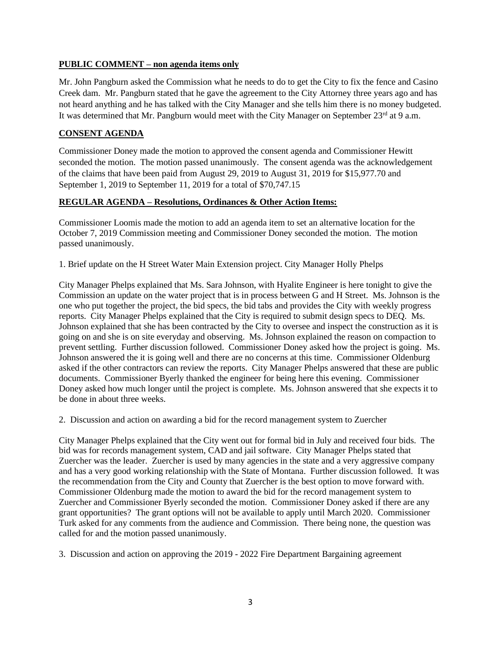#### **PUBLIC COMMENT – non agenda items only**

Mr. John Pangburn asked the Commission what he needs to do to get the City to fix the fence and Casino Creek dam. Mr. Pangburn stated that he gave the agreement to the City Attorney three years ago and has not heard anything and he has talked with the City Manager and she tells him there is no money budgeted. It was determined that Mr. Pangburn would meet with the City Manager on September 23<sup>rd</sup> at 9 a.m.

## **CONSENT AGENDA**

Commissioner Doney made the motion to approved the consent agenda and Commissioner Hewitt seconded the motion. The motion passed unanimously. The consent agenda was the acknowledgement of the claims that have been paid from August 29, 2019 to August 31, 2019 for \$15,977.70 and September 1, 2019 to September 11, 2019 for a total of \$70,747.15

## **REGULAR AGENDA – Resolutions, Ordinances & Other Action Items:**

Commissioner Loomis made the motion to add an agenda item to set an alternative location for the October 7, 2019 Commission meeting and Commissioner Doney seconded the motion. The motion passed unanimously.

1. Brief update on the H Street Water Main Extension project. City Manager Holly Phelps

City Manager Phelps explained that Ms. Sara Johnson, with Hyalite Engineer is here tonight to give the Commission an update on the water project that is in process between G and H Street. Ms. Johnson is the one who put together the project, the bid specs, the bid tabs and provides the City with weekly progress reports. City Manager Phelps explained that the City is required to submit design specs to DEQ. Ms. Johnson explained that she has been contracted by the City to oversee and inspect the construction as it is going on and she is on site everyday and observing. Ms. Johnson explained the reason on compaction to prevent settling. Further discussion followed. Commissioner Doney asked how the project is going. Ms. Johnson answered the it is going well and there are no concerns at this time. Commissioner Oldenburg asked if the other contractors can review the reports. City Manager Phelps answered that these are public documents. Commissioner Byerly thanked the engineer for being here this evening. Commissioner Doney asked how much longer until the project is complete. Ms. Johnson answered that she expects it to be done in about three weeks.

2. Discussion and action on awarding a bid for the record management system to Zuercher

City Manager Phelps explained that the City went out for formal bid in July and received four bids. The bid was for records management system, CAD and jail software. City Manager Phelps stated that Zuercher was the leader. Zuercher is used by many agencies in the state and a very aggressive company and has a very good working relationship with the State of Montana. Further discussion followed. It was the recommendation from the City and County that Zuercher is the best option to move forward with. Commissioner Oldenburg made the motion to award the bid for the record management system to Zuercher and Commissioner Byerly seconded the motion. Commissioner Doney asked if there are any grant opportunities? The grant options will not be available to apply until March 2020. Commissioner Turk asked for any comments from the audience and Commission. There being none, the question was called for and the motion passed unanimously.

3. Discussion and action on approving the 2019 - 2022 Fire Department Bargaining agreement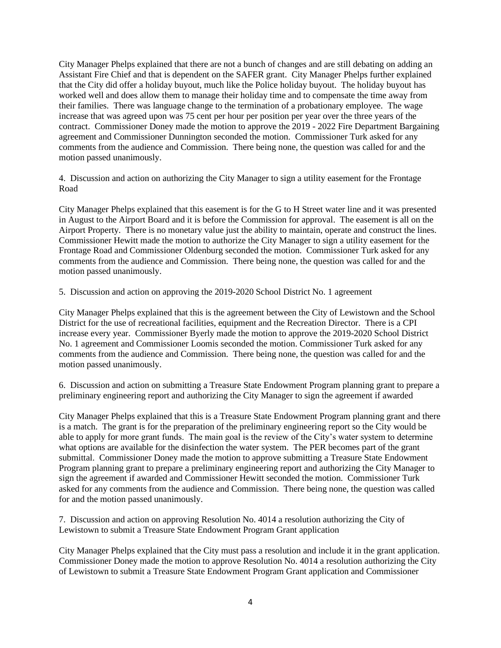City Manager Phelps explained that there are not a bunch of changes and are still debating on adding an Assistant Fire Chief and that is dependent on the SAFER grant. City Manager Phelps further explained that the City did offer a holiday buyout, much like the Police holiday buyout. The holiday buyout has worked well and does allow them to manage their holiday time and to compensate the time away from their families. There was language change to the termination of a probationary employee. The wage increase that was agreed upon was 75 cent per hour per position per year over the three years of the contract. Commissioner Doney made the motion to approve the 2019 - 2022 Fire Department Bargaining agreement and Commissioner Dunnington seconded the motion. Commissioner Turk asked for any comments from the audience and Commission. There being none, the question was called for and the motion passed unanimously.

4. Discussion and action on authorizing the City Manager to sign a utility easement for the Frontage Road

City Manager Phelps explained that this easement is for the G to H Street water line and it was presented in August to the Airport Board and it is before the Commission for approval. The easement is all on the Airport Property. There is no monetary value just the ability to maintain, operate and construct the lines. Commissioner Hewitt made the motion to authorize the City Manager to sign a utility easement for the Frontage Road and Commissioner Oldenburg seconded the motion. Commissioner Turk asked for any comments from the audience and Commission. There being none, the question was called for and the motion passed unanimously.

5. Discussion and action on approving the 2019-2020 School District No. 1 agreement

City Manager Phelps explained that this is the agreement between the City of Lewistown and the School District for the use of recreational facilities, equipment and the Recreation Director. There is a CPI increase every year. Commissioner Byerly made the motion to approve the 2019-2020 School District No. 1 agreement and Commissioner Loomis seconded the motion. Commissioner Turk asked for any comments from the audience and Commission. There being none, the question was called for and the motion passed unanimously.

6. Discussion and action on submitting a Treasure State Endowment Program planning grant to prepare a preliminary engineering report and authorizing the City Manager to sign the agreement if awarded

City Manager Phelps explained that this is a Treasure State Endowment Program planning grant and there is a match. The grant is for the preparation of the preliminary engineering report so the City would be able to apply for more grant funds. The main goal is the review of the City's water system to determine what options are available for the disinfection the water system. The PER becomes part of the grant submittal. Commissioner Doney made the motion to approve submitting a Treasure State Endowment Program planning grant to prepare a preliminary engineering report and authorizing the City Manager to sign the agreement if awarded and Commissioner Hewitt seconded the motion. Commissioner Turk asked for any comments from the audience and Commission. There being none, the question was called for and the motion passed unanimously.

7. Discussion and action on approving Resolution No. 4014 a resolution authorizing the City of Lewistown to submit a Treasure State Endowment Program Grant application

City Manager Phelps explained that the City must pass a resolution and include it in the grant application. Commissioner Doney made the motion to approve Resolution No. 4014 a resolution authorizing the City of Lewistown to submit a Treasure State Endowment Program Grant application and Commissioner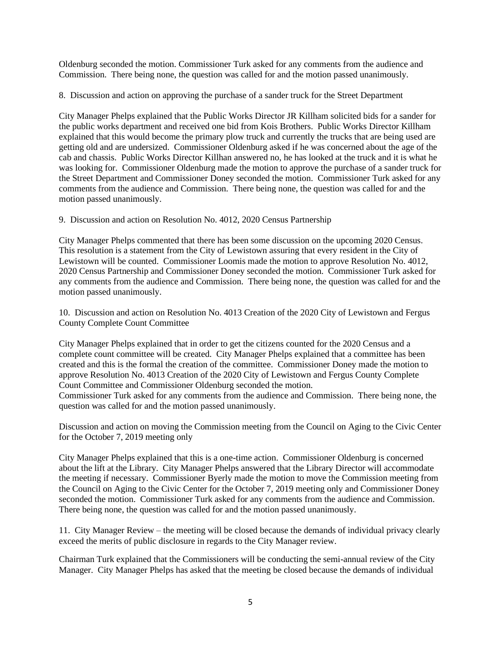Oldenburg seconded the motion. Commissioner Turk asked for any comments from the audience and Commission. There being none, the question was called for and the motion passed unanimously.

8. Discussion and action on approving the purchase of a sander truck for the Street Department

City Manager Phelps explained that the Public Works Director JR Killham solicited bids for a sander for the public works department and received one bid from Kois Brothers. Public Works Director Killham explained that this would become the primary plow truck and currently the trucks that are being used are getting old and are undersized. Commissioner Oldenburg asked if he was concerned about the age of the cab and chassis. Public Works Director Killhan answered no, he has looked at the truck and it is what he was looking for. Commissioner Oldenburg made the motion to approve the purchase of a sander truck for the Street Department and Commissioner Doney seconded the motion. Commissioner Turk asked for any comments from the audience and Commission. There being none, the question was called for and the motion passed unanimously.

9. Discussion and action on Resolution No. 4012, 2020 Census Partnership

City Manager Phelps commented that there has been some discussion on the upcoming 2020 Census. This resolution is a statement from the City of Lewistown assuring that every resident in the City of Lewistown will be counted. Commissioner Loomis made the motion to approve Resolution No. 4012, 2020 Census Partnership and Commissioner Doney seconded the motion. Commissioner Turk asked for any comments from the audience and Commission. There being none, the question was called for and the motion passed unanimously.

10. Discussion and action on Resolution No. 4013 Creation of the 2020 City of Lewistown and Fergus County Complete Count Committee

City Manager Phelps explained that in order to get the citizens counted for the 2020 Census and a complete count committee will be created. City Manager Phelps explained that a committee has been created and this is the formal the creation of the committee. Commissioner Doney made the motion to approve Resolution No. 4013 Creation of the 2020 City of Lewistown and Fergus County Complete Count Committee and Commissioner Oldenburg seconded the motion.

Commissioner Turk asked for any comments from the audience and Commission. There being none, the question was called for and the motion passed unanimously.

Discussion and action on moving the Commission meeting from the Council on Aging to the Civic Center for the October 7, 2019 meeting only

City Manager Phelps explained that this is a one-time action. Commissioner Oldenburg is concerned about the lift at the Library. City Manager Phelps answered that the Library Director will accommodate the meeting if necessary. Commissioner Byerly made the motion to move the Commission meeting from the Council on Aging to the Civic Center for the October 7, 2019 meeting only and Commissioner Doney seconded the motion. Commissioner Turk asked for any comments from the audience and Commission. There being none, the question was called for and the motion passed unanimously.

11. City Manager Review – the meeting will be closed because the demands of individual privacy clearly exceed the merits of public disclosure in regards to the City Manager review.

Chairman Turk explained that the Commissioners will be conducting the semi-annual review of the City Manager. City Manager Phelps has asked that the meeting be closed because the demands of individual